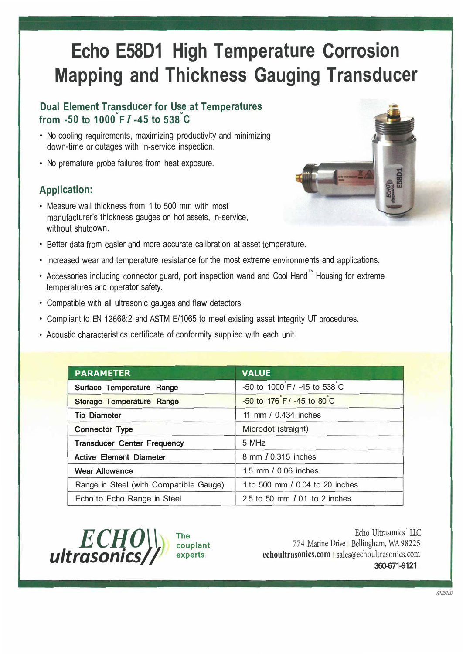# **Echo E58D1 High Temperature Corrosion Mapping and Thickness Gauging Transducer**

#### **Dual Element Transducer for Use at Temperatures from -50 to 1000° <sup>F</sup>***I* **-45 to 538° C**

- No cooling requirements, maximizing productivity and minimizing down-time or outages with in-service inspection.
- No premature probe failures from heat exposure.

## **Application:**

• Measure wall thickness from 1 to 500 mm with most manufacturer's thickness gauges on hot assets, in-service, without shutdown.



- Increased wear and temperature resistance for the most extreme environments and applications.
- Accessories including connector guard, port inspection wand and Cool Hand™ Housing for extreme temperatures and operator safety.
- Compatible with all ultrasonic gauges and flaw detectors.
- Compliant to EN 12668:2 and ASTM E/1065 to meet existing asset integrity UT procedures.
- Acoustic characteristics certificate of conformity supplied with each unit.

| <b>PARAMETER</b>                       | <b>VALUE</b>                     |
|----------------------------------------|----------------------------------|
| Surface Temperature Range              | -50 to 1000 F / -45 to 538 C     |
| <b>Storage Temperature Range</b>       | -50 to 176 F / -45 to 80 C       |
| <b>Tip Diameter</b>                    | 11 mm / 0.434 inches             |
| <b>Connector Type</b>                  | Microdot (straight)              |
| <b>Transducer Center Frequency</b>     | 5 MHz                            |
| <b>Active Element Diameter</b>         | 8 mm / 0.315 inches              |
| <b>Wear Allowance</b>                  | 1.5 mm / 0.06 inches             |
| Range in Steel (with Compatible Gauge) | 1 to 500 mm / 0.04 to 20 inches  |
| Echo to Echo Range in Steel            | 2.5 to 50 mm $I$ 0.1 to 2 inches |



Echo Ultrasonics<sup>"</sup> LLC 774 Marine Drive Bellingham, WA 98225 **echoultrasonics.com** | sales@echoultrasonics.com 360-671-9121